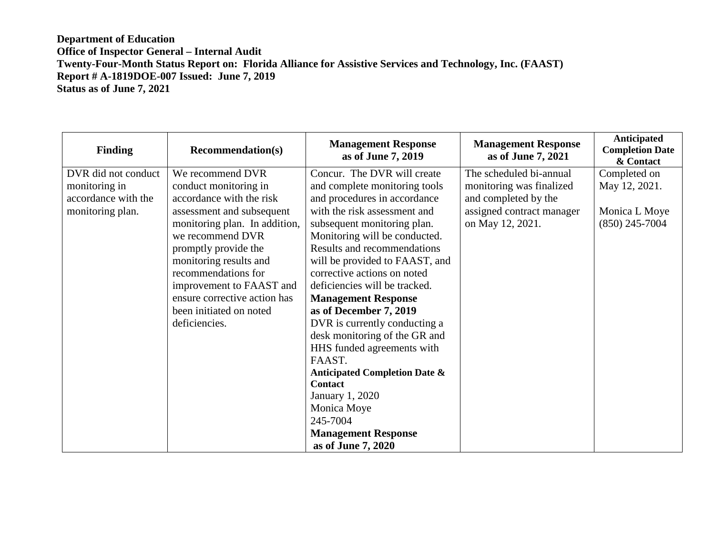## **Department of Education Office of Inspector General – Internal Audit Twenty-Four-Month Status Report on: Florida Alliance for Assistive Services and Technology, Inc. (FAAST) Report # A-1819DOE-007 Issued: June 7, 2019 Status as of June 7, 2021**

| <b>Finding</b>      | <b>Recommendation(s)</b>      | <b>Management Response</b><br>as of June 7, 2019 | <b>Management Response</b><br>as of June 7, 2021 | Anticipated<br><b>Completion Date</b><br>& Contact |
|---------------------|-------------------------------|--------------------------------------------------|--------------------------------------------------|----------------------------------------------------|
| DVR did not conduct | We recommend DVR              | Concur. The DVR will create                      | The scheduled bi-annual                          | Completed on                                       |
| monitoring in       | conduct monitoring in         | and complete monitoring tools                    | monitoring was finalized                         | May 12, 2021.                                      |
| accordance with the | accordance with the risk      | and procedures in accordance                     | and completed by the                             |                                                    |
| monitoring plan.    | assessment and subsequent     | with the risk assessment and                     | assigned contract manager                        | Monica L Moye                                      |
|                     | monitoring plan. In addition, | subsequent monitoring plan.                      | on May 12, 2021.                                 | $(850)$ 245-7004                                   |
|                     | we recommend DVR              | Monitoring will be conducted.                    |                                                  |                                                    |
|                     | promptly provide the          | Results and recommendations                      |                                                  |                                                    |
|                     | monitoring results and        | will be provided to FAAST, and                   |                                                  |                                                    |
|                     | recommendations for           | corrective actions on noted                      |                                                  |                                                    |
|                     | improvement to FAAST and      | deficiencies will be tracked.                    |                                                  |                                                    |
|                     | ensure corrective action has  | <b>Management Response</b>                       |                                                  |                                                    |
|                     | been initiated on noted       | as of December 7, 2019                           |                                                  |                                                    |
|                     | deficiencies.                 | DVR is currently conducting a                    |                                                  |                                                    |
|                     |                               | desk monitoring of the GR and                    |                                                  |                                                    |
|                     |                               | HHS funded agreements with                       |                                                  |                                                    |
|                     |                               | FAAST.                                           |                                                  |                                                    |
|                     |                               | <b>Anticipated Completion Date &amp;</b>         |                                                  |                                                    |
|                     |                               | <b>Contact</b>                                   |                                                  |                                                    |
|                     |                               | January 1, 2020                                  |                                                  |                                                    |
|                     |                               | Monica Moye                                      |                                                  |                                                    |
|                     |                               | 245-7004                                         |                                                  |                                                    |
|                     |                               | <b>Management Response</b>                       |                                                  |                                                    |
|                     |                               | as of June 7, 2020                               |                                                  |                                                    |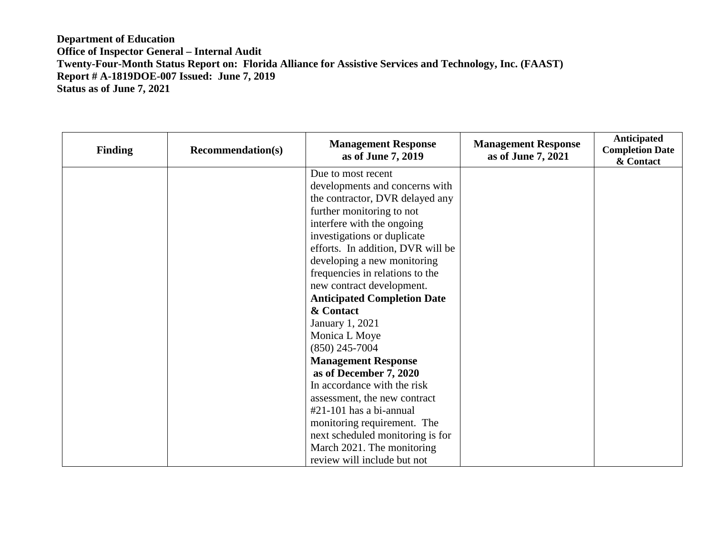## **Department of Education Office of Inspector General – Internal Audit Twenty-Four-Month Status Report on: Florida Alliance for Assistive Services and Technology, Inc. (FAAST) Report # A-1819DOE-007 Issued: June 7, 2019 Status as of June 7, 2021**

| <b>Finding</b> | <b>Recommendation(s)</b> | <b>Management Response</b><br>as of June 7, 2019 | <b>Management Response</b><br>as of June 7, 2021 | Anticipated<br><b>Completion Date</b><br>& Contact |
|----------------|--------------------------|--------------------------------------------------|--------------------------------------------------|----------------------------------------------------|
|                |                          | Due to most recent                               |                                                  |                                                    |
|                |                          | developments and concerns with                   |                                                  |                                                    |
|                |                          | the contractor, DVR delayed any                  |                                                  |                                                    |
|                |                          | further monitoring to not                        |                                                  |                                                    |
|                |                          | interfere with the ongoing                       |                                                  |                                                    |
|                |                          | investigations or duplicate                      |                                                  |                                                    |
|                |                          | efforts. In addition, DVR will be                |                                                  |                                                    |
|                |                          | developing a new monitoring                      |                                                  |                                                    |
|                |                          | frequencies in relations to the                  |                                                  |                                                    |
|                |                          | new contract development.                        |                                                  |                                                    |
|                |                          | <b>Anticipated Completion Date</b>               |                                                  |                                                    |
|                |                          | & Contact                                        |                                                  |                                                    |
|                |                          | January 1, 2021                                  |                                                  |                                                    |
|                |                          | Monica L Moye                                    |                                                  |                                                    |
|                |                          | $(850)$ 245-7004                                 |                                                  |                                                    |
|                |                          | <b>Management Response</b>                       |                                                  |                                                    |
|                |                          | as of December 7, 2020                           |                                                  |                                                    |
|                |                          | In accordance with the risk                      |                                                  |                                                    |
|                |                          | assessment, the new contract                     |                                                  |                                                    |
|                |                          | $#21-101$ has a bi-annual                        |                                                  |                                                    |
|                |                          | monitoring requirement. The                      |                                                  |                                                    |
|                |                          | next scheduled monitoring is for                 |                                                  |                                                    |
|                |                          | March 2021. The monitoring                       |                                                  |                                                    |
|                |                          | review will include but not                      |                                                  |                                                    |